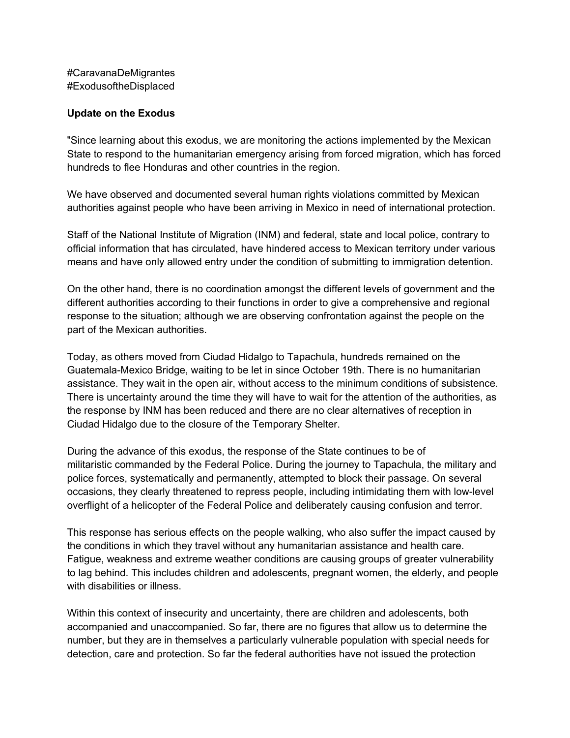#CaravanaDeMigrantes #ExodusoftheDisplaced

## **Update on the Exodus**

"Since learning about this exodus, we are monitoring the actions implemented by the Mexican State to respond to the humanitarian emergency arising from forced migration, which has forced hundreds to flee Honduras and other countries in the region.

We have observed and documented several human rights violations committed by Mexican authorities against people who have been arriving in Mexico in need of international protection.

Staff of the National Institute of Migration (INM) and federal, state and local police, contrary to official information that has circulated, have hindered access to Mexican territory under various means and have only allowed entry under the condition of submitting to immigration detention.

On the other hand, there is no coordination amongst the different levels of government and the different authorities according to their functions in order to give a comprehensive and regional response to the situation; although we are observing confrontation against the people on the part of the Mexican authorities.

Today, as others moved from Ciudad Hidalgo to Tapachula, hundreds remained on the Guatemala-Mexico Bridge, waiting to be let in since October 19th. There is no humanitarian assistance. They wait in the open air, without access to the minimum conditions of subsistence. There is uncertainty around the time they will have to wait for the attention of the authorities, as the response by INM has been reduced and there are no clear alternatives of reception in Ciudad Hidalgo due to the closure of the Temporary Shelter.

During the advance of this exodus, the response of the State continues to be of militaristic commanded by the Federal Police. During the journey to Tapachula, the military and police forces, systematically and permanently, attempted to block their passage. On several occasions, they clearly threatened to repress people, including intimidating them with low-level overflight of a helicopter of the Federal Police and deliberately causing confusion and terror.

This response has serious effects on the people walking, who also suffer the impact caused by the conditions in which they travel without any humanitarian assistance and health care. Fatigue, weakness and extreme weather conditions are causing groups of greater vulnerability to lag behind. This includes children and adolescents, pregnant women, the elderly, and people with disabilities or illness.

Within this context of insecurity and uncertainty, there are children and adolescents, both accompanied and unaccompanied. So far, there are no figures that allow us to determine the number, but they are in themselves a particularly vulnerable population with special needs for detection, care and protection. So far the federal authorities have not issued the protection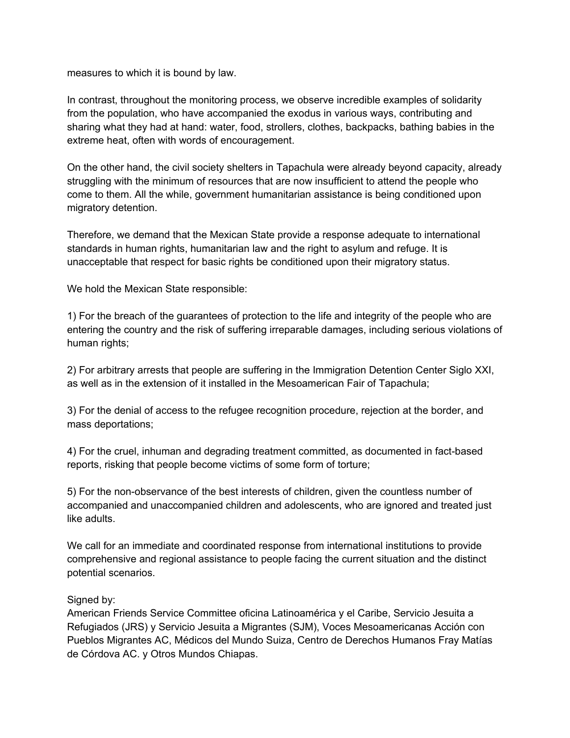measures to which it is bound by law.

In contrast, throughout the monitoring process, we observe incredible examples of solidarity from the population, who have accompanied the exodus in various ways, contributing and sharing what they had at hand: water, food, strollers, clothes, backpacks, bathing babies in the extreme heat, often with words of encouragement.

On the other hand, the civil society shelters in Tapachula were already beyond capacity, already struggling with the minimum of resources that are now insufficient to attend the people who come to them. All the while, government humanitarian assistance is being conditioned upon migratory detention.

Therefore, we demand that the Mexican State provide a response adequate to international standards in human rights, humanitarian law and the right to asylum and refuge. It is unacceptable that respect for basic rights be conditioned upon their migratory status.

We hold the Mexican State responsible:

1) For the breach of the guarantees of protection to the life and integrity of the people who are entering the country and the risk of suffering irreparable damages, including serious violations of human rights;

2) For arbitrary arrests that people are suffering in the Immigration Detention Center Siglo XXI, as well as in the extension of it installed in the Mesoamerican Fair of Tapachula;

3) For the denial of access to the refugee recognition procedure, rejection at the border, and mass deportations;

4) For the cruel, inhuman and degrading treatment committed, as documented in fact-based reports, risking that people become victims of some form of torture;

5) For the non-observance of the best interests of children, given the countless number of accompanied and unaccompanied children and adolescents, who are ignored and treated just like adults.

We call for an immediate and coordinated response from international institutions to provide comprehensive and regional assistance to people facing the current situation and the distinct potential scenarios.

## Signed by:

American Friends Service Committee oficina Latinoamérica y el Caribe, Servicio Jesuita a Refugiados (JRS) y Servicio Jesuita a Migrantes (SJM), Voces Mesoamericanas Acción con Pueblos Migrantes AC, Médicos del Mundo Suiza, Centro de Derechos Humanos Fray Matías de Córdova AC. y Otros Mundos Chiapas.